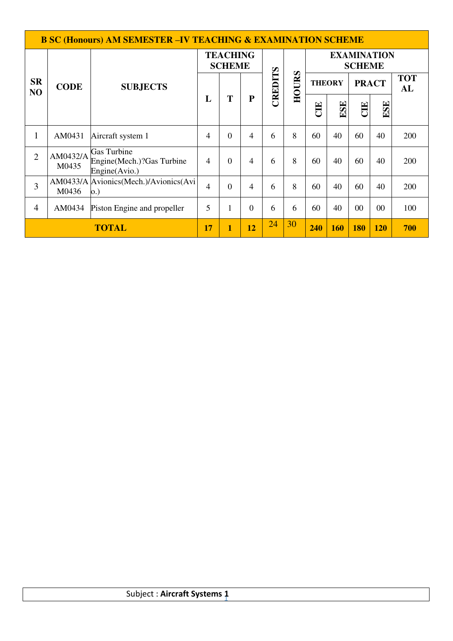|                             |                   | <b>B SC (Honours) AM SEMESTER -IV TEACHING &amp; EXAMINATION SCHEME</b> |                                  |                |           |         |       |                                     |               |              |        |                  |
|-----------------------------|-------------------|-------------------------------------------------------------------------|----------------------------------|----------------|-----------|---------|-------|-------------------------------------|---------------|--------------|--------|------------------|
|                             |                   |                                                                         | <b>TEACHING</b><br><b>SCHEME</b> |                |           |         |       | <b>EXAMINATION</b><br><b>SCHEME</b> |               |              |        |                  |
| <b>SR</b><br>N <sub>O</sub> | <b>CODE</b>       | <b>SUBJECTS</b>                                                         |                                  |                |           | CREDITS | HOURS |                                     | <b>THEORY</b> | <b>PRACT</b> |        | <b>TOT</b><br>AL |
|                             |                   |                                                                         | L                                | T              | ${\bf P}$ |         |       | ELC                                 | ESE           | CIE          | ESE    |                  |
| $\mathbf{1}$                | AM0431            | Aircraft system 1                                                       | 4                                | $\Omega$       | 4         | 6       | 8     | 60                                  | 40            | 60           | 40     | 200              |
| $\overline{2}$              | AM0432/A<br>M0435 | Gas Turbine<br>Engine (Mech.)? Gas Turbine<br>Engine(Avio.)             | 4                                | $\overline{0}$ | 4         | 6       | 8     | 60                                  | 40            | 60           | 40     | 200              |
| 3                           | M0436             | AM0433/A Avionics (Mech.)/Avionics (Avi<br>0.)                          | $\overline{4}$                   | $\theta$       | 4         | 6       | 8     | 60                                  | 40            | 60           | 40     | 200              |
| $\overline{4}$              | AM0434            | Piston Engine and propeller                                             | 5                                | 1              | $\Omega$  | 6       | 6     | 60                                  | 40            | $00\,$       | $00\,$ | 100              |
|                             |                   | 17                                                                      | 1                                | 12             | 24        | 30      | 240   | 160                                 | <b>180</b>    | <b>120</b>   | 700    |                  |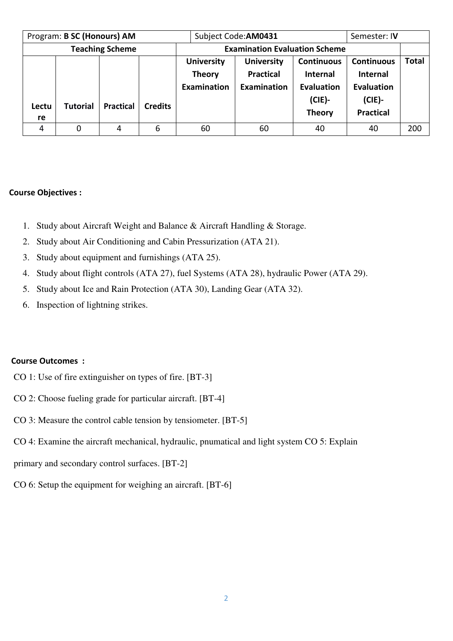| Program: B SC (Honours) AM |                 |                        |                |                                                          | Subject Code: AM0431                                        |                                                                                  | Semester: IV                                                                        |              |
|----------------------------|-----------------|------------------------|----------------|----------------------------------------------------------|-------------------------------------------------------------|----------------------------------------------------------------------------------|-------------------------------------------------------------------------------------|--------------|
|                            |                 | <b>Teaching Scheme</b> |                |                                                          | <b>Examination Evaluation Scheme</b>                        |                                                                                  |                                                                                     |              |
| Lectu<br>re                | <b>Tutorial</b> | <b>Practical</b>       | <b>Credits</b> | <b>University</b><br><b>Theory</b><br><b>Examination</b> | <b>University</b><br><b>Practical</b><br><b>Examination</b> | <b>Continuous</b><br><b>Internal</b><br>Evaluation<br>$(CIE)$ -<br><b>Theory</b> | <b>Continuous</b><br><b>Internal</b><br>Evaluation<br>$(CIE)$ -<br><b>Practical</b> | <b>Total</b> |
| 4                          |                 | 4                      | 6              | 60                                                       | 60                                                          | 40                                                                               | 40                                                                                  | 200          |

#### **Course Objectives :**

- 1. Study about Aircraft Weight and Balance & Aircraft Handling & Storage.
- 2. Study about Air Conditioning and Cabin Pressurization (ATA 21).
- 3. Study about equipment and furnishings (ATA 25).
- 4. Study about flight controls (ATA 27), fuel Systems (ATA 28), hydraulic Power (ATA 29).
- 5. Study about Ice and Rain Protection (ATA 30), Landing Gear (ATA 32).
- 6. Inspection of lightning strikes.

#### **Course Outcomes :**

- CO 1: Use of fire extinguisher on types of fire. [BT-3]
- CO 2: Choose fueling grade for particular aircraft. [BT-4]
- CO 3: Measure the control cable tension by tensiometer. [BT-5]
- CO 4: Examine the aircraft mechanical, hydraulic, pnumatical and light system CO 5: Explain
- primary and secondary control surfaces. [BT-2]
- CO 6: Setup the equipment for weighing an aircraft. [BT-6]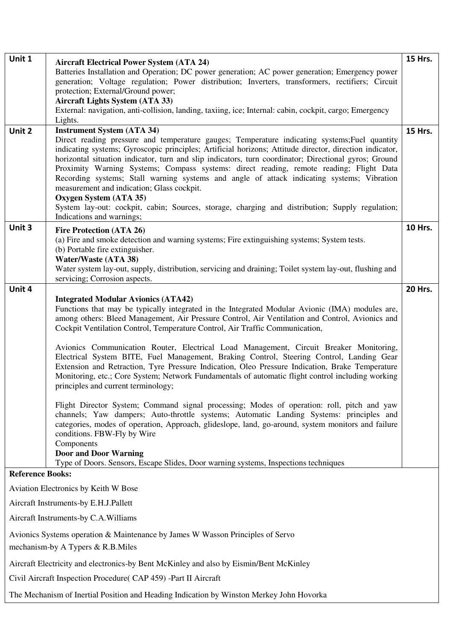| Unit 1                  | <b>Aircraft Electrical Power System (ATA 24)</b><br>Batteries Installation and Operation; DC power generation; AC power generation; Emergency power<br>generation; Voltage regulation; Power distribution; Inverters, transformers, rectifiers; Circuit<br>protection; External/Ground power;                                                                                                                                                                                                                                                                                                                                                                                                                                                           | <b>15 Hrs.</b> |  |  |  |  |
|-------------------------|---------------------------------------------------------------------------------------------------------------------------------------------------------------------------------------------------------------------------------------------------------------------------------------------------------------------------------------------------------------------------------------------------------------------------------------------------------------------------------------------------------------------------------------------------------------------------------------------------------------------------------------------------------------------------------------------------------------------------------------------------------|----------------|--|--|--|--|
|                         | <b>Aircraft Lights System (ATA 33)</b><br>External: navigation, anti-collision, landing, taxiing, ice; Internal: cabin, cockpit, cargo; Emergency<br>Lights.                                                                                                                                                                                                                                                                                                                                                                                                                                                                                                                                                                                            |                |  |  |  |  |
| Unit 2                  | <b>Instrument System (ATA 34)</b><br>Direct reading pressure and temperature gauges; Temperature indicating systems; Fuel quantity<br>indicating systems; Gyroscopic principles; Artificial horizons; Attitude director, direction indicator,<br>horizontal situation indicator, turn and slip indicators, turn coordinator; Directional gyros; Ground<br>Proximity Warning Systems; Compass systems: direct reading, remote reading; Flight Data<br>Recording systems; Stall warning systems and angle of attack indicating systems; Vibration<br>measurement and indication; Glass cockpit.<br>Oxygen System (ATA 35)<br>System lay-out: cockpit, cabin; Sources, storage, charging and distribution; Supply regulation;<br>Indications and warnings; | <b>15 Hrs.</b> |  |  |  |  |
| Unit 3                  | Fire Protection (ATA 26)<br>(a) Fire and smoke detection and warning systems; Fire extinguishing systems; System tests.<br>(b) Portable fire extinguisher.<br>Water/Waste (ATA 38)                                                                                                                                                                                                                                                                                                                                                                                                                                                                                                                                                                      | <b>10 Hrs.</b> |  |  |  |  |
|                         | Water system lay-out, supply, distribution, servicing and draining; Toilet system lay-out, flushing and<br>servicing; Corrosion aspects.                                                                                                                                                                                                                                                                                                                                                                                                                                                                                                                                                                                                                |                |  |  |  |  |
| Unit 4                  | <b>Integrated Modular Avionics (ATA42)</b><br>Functions that may be typically integrated in the Integrated Modular Avionic (IMA) modules are,<br>among others: Bleed Management, Air Pressure Control, Air Ventilation and Control, Avionics and<br>Cockpit Ventilation Control, Temperature Control, Air Traffic Communication,                                                                                                                                                                                                                                                                                                                                                                                                                        | 20 Hrs.        |  |  |  |  |
|                         | Avionics Communication Router, Electrical Load Management, Circuit Breaker Monitoring,<br>Electrical System BITE, Fuel Management, Braking Control, Steering Control, Landing Gear<br>Extension and Retraction, Tyre Pressure Indication, Oleo Pressure Indication, Brake Temperature<br>Monitoring, etc.; Core System; Network Fundamentals of automatic flight control including working<br>principles and current terminology;                                                                                                                                                                                                                                                                                                                       |                |  |  |  |  |
|                         | Flight Director System; Command signal processing; Modes of operation: roll, pitch and yaw<br>channels; Yaw dampers; Auto-throttle systems; Automatic Landing Systems: principles and<br>categories, modes of operation, Approach, glideslope, land, go-around, system monitors and failure<br>conditions. FBW-Fly by Wire<br>Components<br><b>Door and Door Warning</b><br>Type of Doors. Sensors, Escape Slides, Door warning systems, Inspections techniques                                                                                                                                                                                                                                                                                         |                |  |  |  |  |
| <b>Reference Books:</b> |                                                                                                                                                                                                                                                                                                                                                                                                                                                                                                                                                                                                                                                                                                                                                         |                |  |  |  |  |
|                         | Aviation Electronics by Keith W Bose                                                                                                                                                                                                                                                                                                                                                                                                                                                                                                                                                                                                                                                                                                                    |                |  |  |  |  |
|                         | Aircraft Instruments-by E.H.J.Pallett                                                                                                                                                                                                                                                                                                                                                                                                                                                                                                                                                                                                                                                                                                                   |                |  |  |  |  |
|                         | Aircraft Instruments-by C.A. Williams                                                                                                                                                                                                                                                                                                                                                                                                                                                                                                                                                                                                                                                                                                                   |                |  |  |  |  |
|                         | Avionics Systems operation & Maintenance by James W Wasson Principles of Servo                                                                                                                                                                                                                                                                                                                                                                                                                                                                                                                                                                                                                                                                          |                |  |  |  |  |
|                         | mechanism-by A Typers & R.B.Miles                                                                                                                                                                                                                                                                                                                                                                                                                                                                                                                                                                                                                                                                                                                       |                |  |  |  |  |
|                         | Aircraft Electricity and electronics-by Bent McKinley and also by Eismin/Bent McKinley                                                                                                                                                                                                                                                                                                                                                                                                                                                                                                                                                                                                                                                                  |                |  |  |  |  |
|                         | Civil Aircraft Inspection Procedure (CAP 459) - Part II Aircraft                                                                                                                                                                                                                                                                                                                                                                                                                                                                                                                                                                                                                                                                                        |                |  |  |  |  |
|                         | The Mechanism of Inertial Position and Heading Indication by Winston Merkey John Hovorka                                                                                                                                                                                                                                                                                                                                                                                                                                                                                                                                                                                                                                                                |                |  |  |  |  |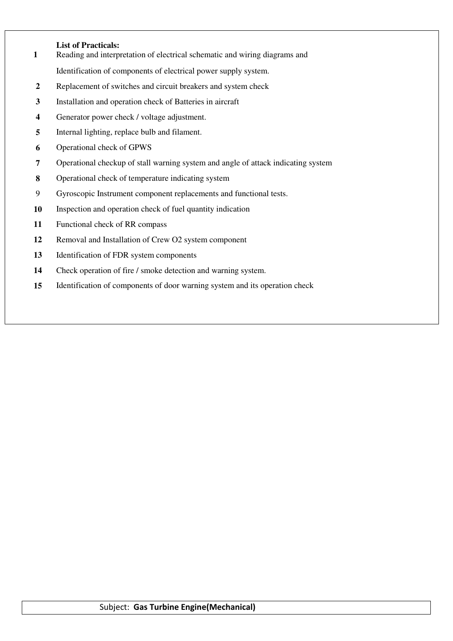#### **List of Practicals:**

- Reading and interpretation of electrical schematic and wiring diagrams and Identification of components of electrical power supply system.
- Replacement of switches and circuit breakers and system check
- Installation and operation check of Batteries in aircraft
- Generator power check / voltage adjustment.
- Internal lighting, replace bulb and filament.
- Operational check of GPWS
- Operational checkup of stall warning system and angle of attack indicating system
- Operational check of temperature indicating system
- 9 Gyroscopic Instrument component replacements and functional tests.
- Inspection and operation check of fuel quantity indication
- Functional check of RR compass
- Removal and Installation of Crew O2 system component
- Identification of FDR system components
- Check operation of fire / smoke detection and warning system.
- Identification of components of door warning system and its operation check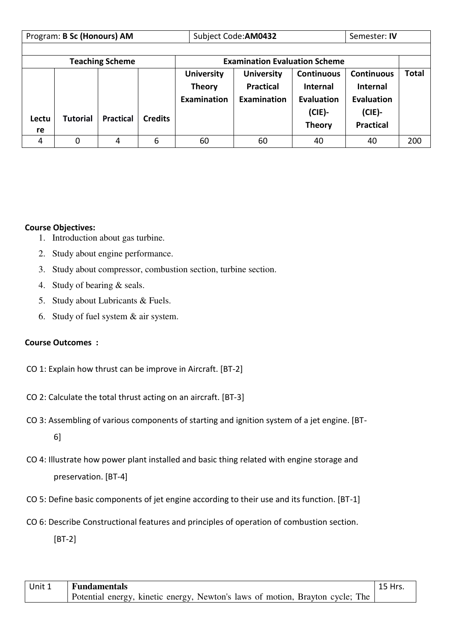|             | Program: B Sc (Honours) AM |                        |                |                                                   | Subject Code: AM0432                                 |                                                                                         |                                                                                            |              |
|-------------|----------------------------|------------------------|----------------|---------------------------------------------------|------------------------------------------------------|-----------------------------------------------------------------------------------------|--------------------------------------------------------------------------------------------|--------------|
|             |                            |                        |                |                                                   |                                                      |                                                                                         |                                                                                            |              |
|             |                            | <b>Teaching Scheme</b> |                |                                                   | <b>Examination Evaluation Scheme</b>                 |                                                                                         |                                                                                            |              |
| Lectu<br>re | <b>Tutorial</b>            | <b>Practical</b>       | <b>Credits</b> | <b>University</b><br><b>Theory</b><br>Examination | <b>University</b><br><b>Practical</b><br>Examination | <b>Continuous</b><br><b>Internal</b><br><b>Evaluation</b><br>$(CIE)$ -<br><b>Theory</b> | <b>Continuous</b><br><b>Internal</b><br><b>Evaluation</b><br>$(CIE)$ -<br><b>Practical</b> | <b>Total</b> |
| 4           | 0                          | 4                      | 6              | 60                                                | 60                                                   | 40                                                                                      | 40                                                                                         | 200          |

## **Course Objectives:**

- 1. Introduction about gas turbine.
- 2. Study about engine performance.
- 3. Study about compressor, combustion section, turbine section.
- 4. Study of bearing & seals.
- 5. Study about Lubricants & Fuels.
- 6. Study of fuel system & air system.

# **Course Outcomes :**

- CO 1: Explain how thrust can be improve in Aircraft. [BT-2]
- CO 2: Calculate the total thrust acting on an aircraft. [BT-3]
- CO 3: Assembling of various components of starting and ignition system of a jet engine. [BT-6]
- CO 4: Illustrate how power plant installed and basic thing related with engine storage and preservation. [BT-4]
- CO 5: Define basic components of jet engine according to their use and its function. [BT-1]
- CO 6: Describe Constructional features and principles of operation of combustion section.

[BT-2]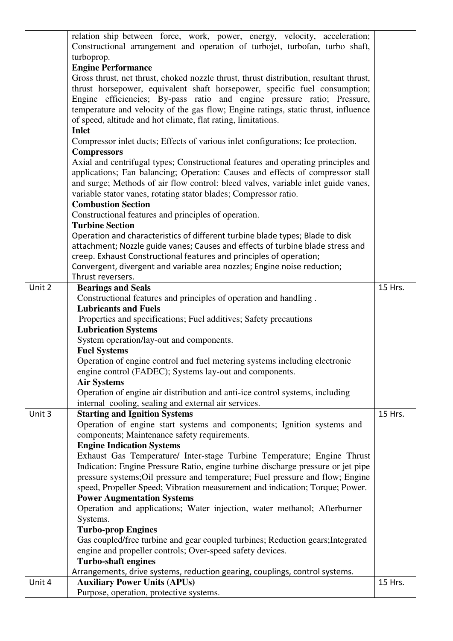|        | relation ship between force, work, power, energy, velocity, acceleration;              |         |
|--------|----------------------------------------------------------------------------------------|---------|
|        | Constructional arrangement and operation of turbojet, turbofan, turbo shaft,           |         |
|        | turboprop.                                                                             |         |
|        | <b>Engine Performance</b>                                                              |         |
|        | Gross thrust, net thrust, choked nozzle thrust, thrust distribution, resultant thrust, |         |
|        | thrust horsepower, equivalent shaft horsepower, specific fuel consumption;             |         |
|        | Engine efficiencies; By-pass ratio and engine pressure ratio; Pressure,                |         |
|        | temperature and velocity of the gas flow; Engine ratings, static thrust, influence     |         |
|        | of speed, altitude and hot climate, flat rating, limitations.                          |         |
|        | <b>Inlet</b>                                                                           |         |
|        | Compressor inlet ducts; Effects of various inlet configurations; Ice protection.       |         |
|        | <b>Compressors</b>                                                                     |         |
|        | Axial and centrifugal types; Constructional features and operating principles and      |         |
|        | applications; Fan balancing; Operation: Causes and effects of compressor stall         |         |
|        | and surge; Methods of air flow control: bleed valves, variable inlet guide vanes,      |         |
|        | variable stator vanes, rotating stator blades; Compressor ratio.                       |         |
|        | <b>Combustion Section</b>                                                              |         |
|        | Constructional features and principles of operation.                                   |         |
|        | <b>Turbine Section</b>                                                                 |         |
|        | Operation and characteristics of different turbine blade types; Blade to disk          |         |
|        | attachment; Nozzle guide vanes; Causes and effects of turbine blade stress and         |         |
|        | creep. Exhaust Constructional features and principles of operation;                    |         |
|        | Convergent, divergent and variable area nozzles; Engine noise reduction;               |         |
|        | Thrust reversers.                                                                      |         |
| Unit 2 | <b>Bearings and Seals</b>                                                              | 15 Hrs. |
|        | Constructional features and principles of operation and handling.                      |         |
|        | <b>Lubricants and Fuels</b>                                                            |         |
|        | Properties and specifications; Fuel additives; Safety precautions                      |         |
|        | <b>Lubrication Systems</b>                                                             |         |
|        | System operation/lay-out and components.                                               |         |
|        | <b>Fuel Systems</b>                                                                    |         |
|        | Operation of engine control and fuel metering systems including electronic             |         |
|        | engine control (FADEC); Systems lay-out and components.                                |         |
|        | <b>Air Systems</b>                                                                     |         |
|        | Operation of engine air distribution and anti-ice control systems, including           |         |
|        | internal cooling, sealing and external air services.                                   |         |
| Unit 3 | <b>Starting and Ignition Systems</b>                                                   | 15 Hrs. |
|        | Operation of engine start systems and components; Ignition systems and                 |         |
|        | components; Maintenance safety requirements.                                           |         |
|        | <b>Engine Indication Systems</b>                                                       |         |
|        | Exhaust Gas Temperature/ Inter-stage Turbine Temperature; Engine Thrust                |         |
|        | Indication: Engine Pressure Ratio, engine turbine discharge pressure or jet pipe       |         |
|        | pressure systems; Oil pressure and temperature; Fuel pressure and flow; Engine         |         |
|        | speed, Propeller Speed; Vibration measurement and indication; Torque; Power.           |         |
|        | <b>Power Augmentation Systems</b>                                                      |         |
|        | Operation and applications; Water injection, water methanol; Afterburner               |         |
|        | Systems.                                                                               |         |
|        | <b>Turbo-prop Engines</b>                                                              |         |
|        | Gas coupled/free turbine and gear coupled turbines; Reduction gears; Integrated        |         |
|        | engine and propeller controls; Over-speed safety devices.                              |         |
|        | <b>Turbo-shaft engines</b>                                                             |         |
|        | Arrangements, drive systems, reduction gearing, couplings, control systems.            |         |
| Unit 4 | <b>Auxiliary Power Units (APUs)</b>                                                    | 15 Hrs. |
|        | Purpose, operation, protective systems.                                                |         |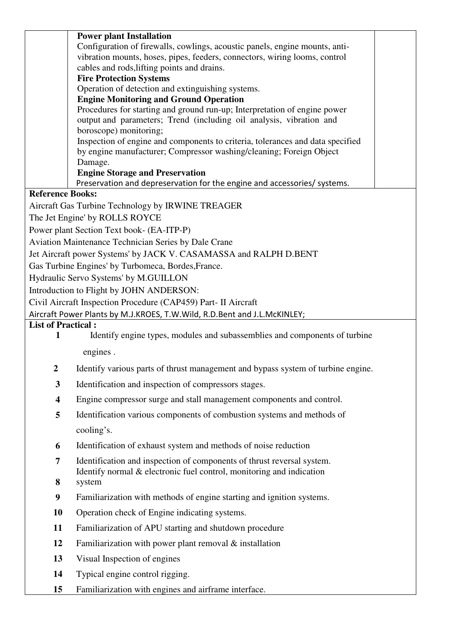|                           | <b>Power plant Installation</b>                                                                                            |  |
|---------------------------|----------------------------------------------------------------------------------------------------------------------------|--|
|                           | Configuration of firewalls, cowlings, acoustic panels, engine mounts, anti-                                                |  |
|                           | vibration mounts, hoses, pipes, feeders, connectors, wiring looms, control                                                 |  |
|                           | cables and rods, lifting points and drains.                                                                                |  |
|                           | <b>Fire Protection Systems</b>                                                                                             |  |
|                           | Operation of detection and extinguishing systems.                                                                          |  |
|                           | <b>Engine Monitoring and Ground Operation</b><br>Procedures for starting and ground run-up; Interpretation of engine power |  |
|                           | output and parameters; Trend (including oil analysis, vibration and                                                        |  |
|                           | boroscope) monitoring;                                                                                                     |  |
|                           | Inspection of engine and components to criteria, tolerances and data specified                                             |  |
|                           | by engine manufacturer; Compressor washing/cleaning; Foreign Object                                                        |  |
|                           | Damage.                                                                                                                    |  |
|                           | <b>Engine Storage and Preservation</b>                                                                                     |  |
|                           | Preservation and depreservation for the engine and accessories/ systems.                                                   |  |
| <b>Reference Books:</b>   |                                                                                                                            |  |
|                           | Aircraft Gas Turbine Technology by IRWINE TREAGER                                                                          |  |
|                           | The Jet Engine' by ROLLS ROYCE                                                                                             |  |
|                           | Power plant Section Text book- (EA-ITP-P)                                                                                  |  |
|                           | Aviation Maintenance Technician Series by Dale Crane                                                                       |  |
|                           | Jet Aircraft power Systems' by JACK V. CASAMASSA and RALPH D.BENT                                                          |  |
|                           | Gas Turbine Engines' by Turbomeca, Bordes, France.                                                                         |  |
|                           | Hydraulic Servo Systems' by M.GUILLON                                                                                      |  |
|                           | Introduction to Flight by JOHN ANDERSON:                                                                                   |  |
|                           | Civil Aircraft Inspection Procedure (CAP459) Part- II Aircraft                                                             |  |
|                           | Aircraft Power Plants by M.J.KROES, T.W.Wild, R.D.Bent and J.L.McKINLEY;                                                   |  |
| <b>List of Practical:</b> |                                                                                                                            |  |
| 1                         | Identify engine types, modules and subassemblies and components of turbine                                                 |  |
|                           | engines.                                                                                                                   |  |
| 2                         | Identify various parts of thrust management and bypass system of turbine engine.                                           |  |
| 3                         | Identification and inspection of compressors stages.                                                                       |  |
| $\overline{\mathbf{4}}$   | Engine compressor surge and stall management components and control.                                                       |  |
| 5                         | Identification various components of combustion systems and methods of                                                     |  |
|                           | cooling's.                                                                                                                 |  |
| 6                         | Identification of exhaust system and methods of noise reduction                                                            |  |
| 7                         | Identification and inspection of components of thrust reversal system.                                                     |  |
| 8                         | Identify normal & electronic fuel control, monitoring and indication<br>system                                             |  |
| 9                         | Familiarization with methods of engine starting and ignition systems.                                                      |  |
| 10                        | Operation check of Engine indicating systems.                                                                              |  |
| 11                        | Familiarization of APU starting and shutdown procedure                                                                     |  |
| 12                        | Familiarization with power plant removal $\&$ installation                                                                 |  |
| 13                        | Visual Inspection of engines                                                                                               |  |
| 14                        | Typical engine control rigging.                                                                                            |  |
| 15                        | Familiarization with engines and airframe interface.                                                                       |  |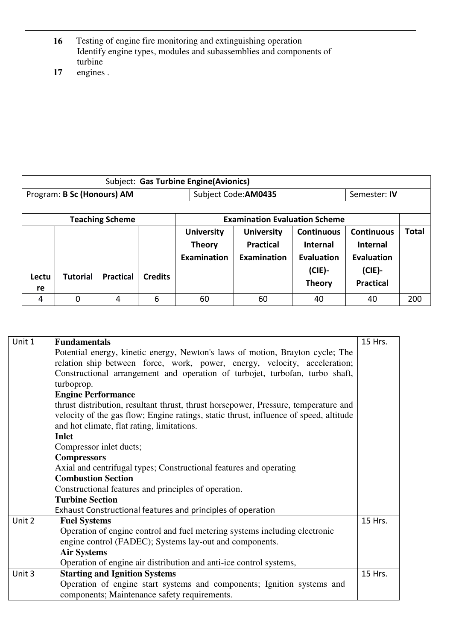| 16 | Testing of engine fire monitoring and extinguishing operation      |
|----|--------------------------------------------------------------------|
|    | Identify engine types, modules and subassemblies and components of |
|    | turbine                                                            |
| 17 | engines.                                                           |

|             | Subject: Gas Turbine Engine(Avionics) |                        |                |                    |                                      |                   |                   |              |  |
|-------------|---------------------------------------|------------------------|----------------|--------------------|--------------------------------------|-------------------|-------------------|--------------|--|
|             | Program: B Sc (Honours) AM            |                        |                |                    | Subject Code: AM0435                 |                   | Semester: IV      |              |  |
|             |                                       |                        |                |                    |                                      |                   |                   |              |  |
|             |                                       | <b>Teaching Scheme</b> |                |                    | <b>Examination Evaluation Scheme</b> |                   |                   |              |  |
|             |                                       |                        |                | <b>University</b>  | <b>University</b>                    | <b>Continuous</b> | <b>Continuous</b> | <b>Total</b> |  |
|             |                                       |                        |                | <b>Theory</b>      | <b>Practical</b>                     | Internal          | <b>Internal</b>   |              |  |
|             |                                       |                        |                | <b>Examination</b> | <b>Examination</b>                   | Evaluation        | <b>Evaluation</b> |              |  |
|             | <b>Tutorial</b>                       | <b>Practical</b>       | <b>Credits</b> |                    |                                      | $(CIE)$ -         | $(CIE)$ -         |              |  |
| Lectu<br>re |                                       |                        |                |                    |                                      | <b>Theory</b>     | <b>Practical</b>  |              |  |
| 4           | 0                                     | 4                      | 6              | 60                 | 60                                   | 40                | 40                | 200          |  |

| Unit 1 | <b>Fundamentals</b>                                                                   | 15 Hrs. |
|--------|---------------------------------------------------------------------------------------|---------|
|        | Potential energy, kinetic energy, Newton's laws of motion, Brayton cycle; The         |         |
|        | relation ship between force, work, power, energy, velocity, acceleration;             |         |
|        | Constructional arrangement and operation of turbojet, turbofan, turbo shaft,          |         |
|        | turboprop.                                                                            |         |
|        | <b>Engine Performance</b>                                                             |         |
|        | thrust distribution, resultant thrust, thrust horsepower, Pressure, temperature and   |         |
|        | velocity of the gas flow; Engine ratings, static thrust, influence of speed, altitude |         |
|        | and hot climate, flat rating, limitations.                                            |         |
|        | <b>Inlet</b>                                                                          |         |
|        | Compressor inlet ducts;                                                               |         |
|        | <b>Compressors</b>                                                                    |         |
|        | Axial and centrifugal types; Constructional features and operating                    |         |
|        | <b>Combustion Section</b>                                                             |         |
|        | Constructional features and principles of operation.                                  |         |
|        | <b>Turbine Section</b>                                                                |         |
|        | Exhaust Constructional features and principles of operation                           |         |
| Unit 2 | <b>Fuel Systems</b>                                                                   | 15 Hrs. |
|        | Operation of engine control and fuel metering systems including electronic            |         |
|        | engine control (FADEC); Systems lay-out and components.                               |         |
|        | <b>Air Systems</b>                                                                    |         |
|        | Operation of engine air distribution and anti-ice control systems,                    |         |
| Unit 3 | <b>Starting and Ignition Systems</b>                                                  | 15 Hrs. |
|        | Operation of engine start systems and components; Ignition systems and                |         |
|        | components; Maintenance safety requirements.                                          |         |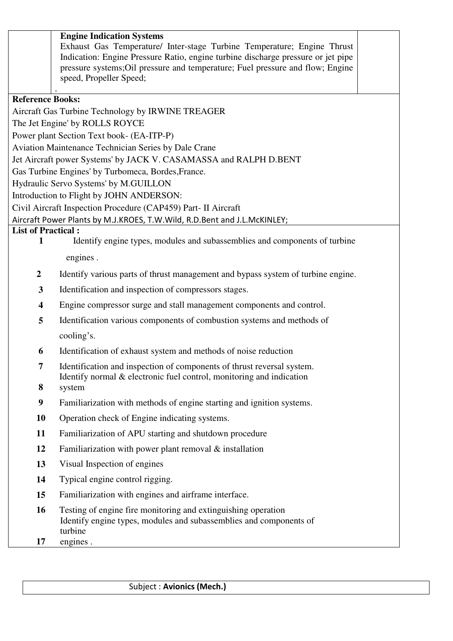|                           | <b>Engine Indication Systems</b><br>Exhaust Gas Temperature/ Inter-stage Turbine Temperature; Engine Thrust<br>Indication: Engine Pressure Ratio, engine turbine discharge pressure or jet pipe<br>pressure systems; Oil pressure and temperature; Fuel pressure and flow; Engine<br>speed, Propeller Speed; |  |  |  |  |  |
|---------------------------|--------------------------------------------------------------------------------------------------------------------------------------------------------------------------------------------------------------------------------------------------------------------------------------------------------------|--|--|--|--|--|
| <b>Reference Books:</b>   |                                                                                                                                                                                                                                                                                                              |  |  |  |  |  |
|                           | Aircraft Gas Turbine Technology by IRWINE TREAGER                                                                                                                                                                                                                                                            |  |  |  |  |  |
|                           | The Jet Engine' by ROLLS ROYCE                                                                                                                                                                                                                                                                               |  |  |  |  |  |
|                           | Power plant Section Text book- (EA-ITP-P)                                                                                                                                                                                                                                                                    |  |  |  |  |  |
|                           | Aviation Maintenance Technician Series by Dale Crane                                                                                                                                                                                                                                                         |  |  |  |  |  |
|                           | Jet Aircraft power Systems' by JACK V. CASAMASSA and RALPH D.BENT                                                                                                                                                                                                                                            |  |  |  |  |  |
|                           | Gas Turbine Engines' by Turbomeca, Bordes, France.                                                                                                                                                                                                                                                           |  |  |  |  |  |
|                           | Hydraulic Servo Systems' by M.GUILLON                                                                                                                                                                                                                                                                        |  |  |  |  |  |
|                           | Introduction to Flight by JOHN ANDERSON:                                                                                                                                                                                                                                                                     |  |  |  |  |  |
|                           | Civil Aircraft Inspection Procedure (CAP459) Part- II Aircraft                                                                                                                                                                                                                                               |  |  |  |  |  |
|                           | Aircraft Power Plants by M.J.KROES, T.W.Wild, R.D.Bent and J.L.McKINLEY;                                                                                                                                                                                                                                     |  |  |  |  |  |
| <b>List of Practical:</b> |                                                                                                                                                                                                                                                                                                              |  |  |  |  |  |
| $\mathbf{1}$              | Identify engine types, modules and subassemblies and components of turbine                                                                                                                                                                                                                                   |  |  |  |  |  |
|                           | engines.                                                                                                                                                                                                                                                                                                     |  |  |  |  |  |
| $\overline{2}$            | Identify various parts of thrust management and bypass system of turbine engine.                                                                                                                                                                                                                             |  |  |  |  |  |
| $\mathbf{3}$              | Identification and inspection of compressors stages.                                                                                                                                                                                                                                                         |  |  |  |  |  |
| $\overline{\mathbf{4}}$   | Engine compressor surge and stall management components and control.                                                                                                                                                                                                                                         |  |  |  |  |  |
| 5                         | Identification various components of combustion systems and methods of                                                                                                                                                                                                                                       |  |  |  |  |  |
|                           | cooling's.                                                                                                                                                                                                                                                                                                   |  |  |  |  |  |
| 6                         | Identification of exhaust system and methods of noise reduction                                                                                                                                                                                                                                              |  |  |  |  |  |
| 7                         | Identification and inspection of components of thrust reversal system.                                                                                                                                                                                                                                       |  |  |  |  |  |
| 8                         | Identify normal & electronic fuel control, monitoring and indication<br>system                                                                                                                                                                                                                               |  |  |  |  |  |
| $\boldsymbol{9}$          | Familiarization with methods of engine starting and ignition systems.                                                                                                                                                                                                                                        |  |  |  |  |  |
| 10                        | Operation check of Engine indicating systems.                                                                                                                                                                                                                                                                |  |  |  |  |  |
| 11                        | Familiarization of APU starting and shutdown procedure                                                                                                                                                                                                                                                       |  |  |  |  |  |
| 12                        | Familiarization with power plant removal $\&$ installation                                                                                                                                                                                                                                                   |  |  |  |  |  |
| 13                        | Visual Inspection of engines                                                                                                                                                                                                                                                                                 |  |  |  |  |  |
| 14                        | Typical engine control rigging.                                                                                                                                                                                                                                                                              |  |  |  |  |  |
| 15                        | Familiarization with engines and airframe interface.                                                                                                                                                                                                                                                         |  |  |  |  |  |
| 16                        | Testing of engine fire monitoring and extinguishing operation<br>Identify engine types, modules and subassemblies and components of<br>turbine                                                                                                                                                               |  |  |  |  |  |
| 17                        | engines.                                                                                                                                                                                                                                                                                                     |  |  |  |  |  |
|                           |                                                                                                                                                                                                                                                                                                              |  |  |  |  |  |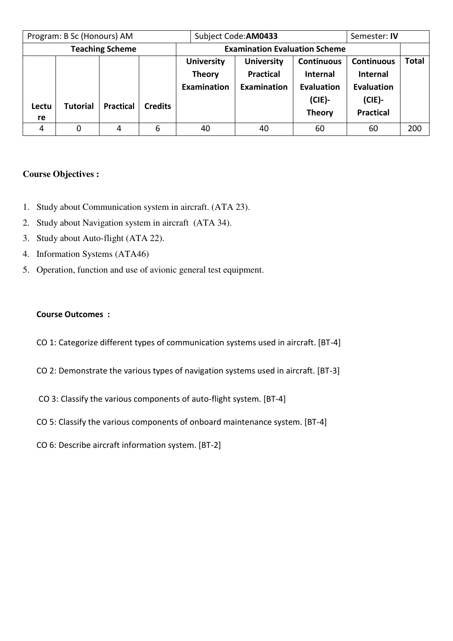| Program: B Sc (Honours) AM |                 |                        |                | Subject Code: AM0433                                     |                                                             |                                                                                         | Semester: <b>IV</b>                                                                 |              |
|----------------------------|-----------------|------------------------|----------------|----------------------------------------------------------|-------------------------------------------------------------|-----------------------------------------------------------------------------------------|-------------------------------------------------------------------------------------|--------------|
|                            |                 | <b>Teaching Scheme</b> |                |                                                          | <b>Examination Evaluation Scheme</b>                        |                                                                                         |                                                                                     |              |
| Lectu<br>re                | <b>Tutorial</b> | <b>Practical</b>       | <b>Credits</b> | <b>University</b><br><b>Theory</b><br><b>Examination</b> | <b>University</b><br><b>Practical</b><br><b>Examination</b> | <b>Continuous</b><br><b>Internal</b><br><b>Evaluation</b><br>$(CIE)$ -<br><b>Theory</b> | <b>Continuous</b><br><b>Internal</b><br>Evaluation<br>$(CIE)$ -<br><b>Practical</b> | <b>Total</b> |
| 4                          |                 | 4                      | 6              | 40                                                       | 40                                                          | 60                                                                                      | 60                                                                                  | 200          |

# **Course Objectives :**

- 1. Study about Communication system in aircraft. (ATA 23).
- 2. Study about Navigation system in aircraft (ATA 34).
- 3. Study about Auto-flight (ATA 22).
- 4. Information Systems (ATA46)
- 5. Operation, function and use of avionic general test equipment.

## **Course Outcomes :**

- CO 1: Categorize different types of communication systems used in aircraft. [BT-4]
- CO 2: Demonstrate the various types of navigation systems used in aircraft. [BT-3]
- CO 3: Classify the various components of auto-flight system. [BT-4]
- CO 5: Classify the various components of onboard maintenance system. [BT-4]
- CO 6: Describe aircraft information system. [BT-2]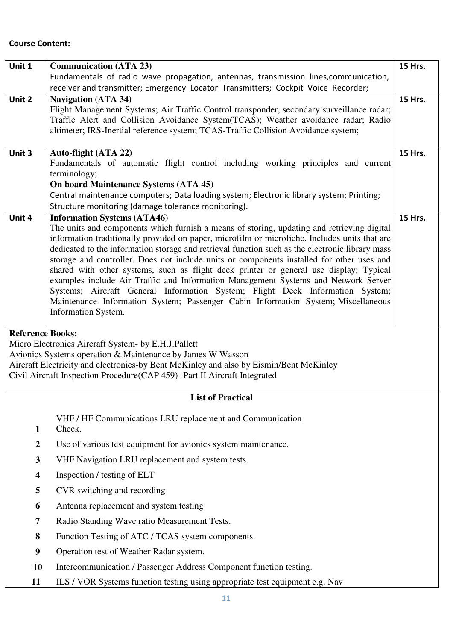#### **Course Content:**

| Unit 1                  | <b>Communication (ATA 23)</b>                                                                   | <b>15 Hrs.</b> |
|-------------------------|-------------------------------------------------------------------------------------------------|----------------|
|                         | Fundamentals of radio wave propagation, antennas, transmission lines, communication,            |                |
|                         | receiver and transmitter; Emergency Locator Transmitters; Cockpit Voice Recorder;               |                |
| Unit 2                  | <b>Navigation (ATA 34)</b>                                                                      | <b>15 Hrs.</b> |
|                         | Flight Management Systems; Air Traffic Control transponder, secondary surveillance radar;       |                |
|                         | Traffic Alert and Collision Avoidance System(TCAS); Weather avoidance radar; Radio              |                |
|                         | altimeter; IRS-Inertial reference system; TCAS-Traffic Collision Avoidance system;              |                |
|                         |                                                                                                 |                |
| Unit 3                  | Auto-flight (ATA 22)                                                                            | <b>15 Hrs.</b> |
|                         | Fundamentals of automatic flight control including working principles and current               |                |
|                         | terminology;                                                                                    |                |
|                         | <b>On board Maintenance Systems (ATA 45)</b>                                                    |                |
|                         | Central maintenance computers; Data loading system; Electronic library system; Printing;        |                |
|                         | Structure monitoring (damage tolerance monitoring).                                             |                |
| Unit 4                  | <b>Information Systems (ATA46)</b>                                                              | <b>15 Hrs.</b> |
|                         | The units and components which furnish a means of storing, updating and retrieving digital      |                |
|                         | information traditionally provided on paper, microfilm or microfiche. Includes units that are   |                |
|                         | dedicated to the information storage and retrieval function such as the electronic library mass |                |
|                         | storage and controller. Does not include units or components installed for other uses and       |                |
|                         | shared with other systems, such as flight deck printer or general use display; Typical          |                |
|                         | examples include Air Traffic and Information Management Systems and Network Server              |                |
|                         | Systems; Aircraft General Information System; Flight Deck Information System;                   |                |
|                         | Maintenance Information System; Passenger Cabin Information System; Miscellaneous               |                |
|                         | Information System.                                                                             |                |
|                         |                                                                                                 |                |
| <b>Reference Books:</b> |                                                                                                 |                |
|                         | Micro Electronics Aircraft System- by E.H.J.Pallett                                             |                |
|                         | Avionics Systems operation & Maintenance by James W Wasson                                      |                |
|                         | Aircraft Electricity and electronics-by Bent McKinley and also by Eismin/Bent McKinley          |                |
|                         | Civil Aircraft Inspection Procedure(CAP 459) -Part II Aircraft Integrated                       |                |
|                         |                                                                                                 |                |

# **List of Practical**

VHF / HF Communications LRU replacement and Communication

- **1**  Check.
- **2** Use of various test equipment for avionics system maintenance.
- **3** VHF Navigation LRU replacement and system tests.
- **4** Inspection / testing of ELT
- **5** CVR switching and recording
- **6** Antenna replacement and system testing
- **7** Radio Standing Wave ratio Measurement Tests.
- **8** Function Testing of ATC / TCAS system components.
- **9** Operation test of Weather Radar system.
- **10** Intercommunication / Passenger Address Component function testing.
- **11** ILS / VOR Systems function testing using appropriate test equipment e.g. Nav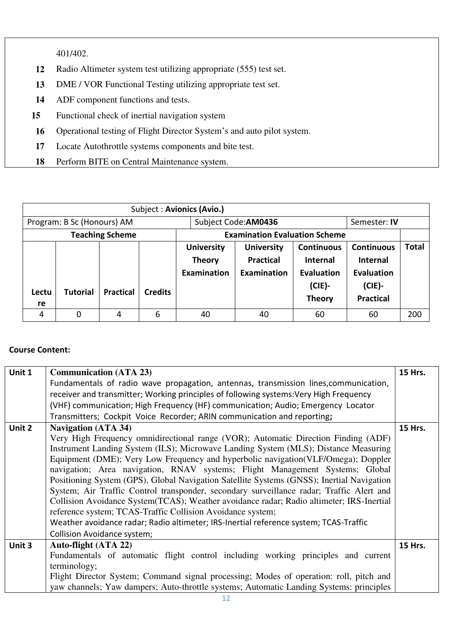401/402.

- **12** Radio Altimeter system test utilizing appropriate (555) test set.
- **13** DME / VOR Functional Testing utilizing appropriate test set.
- **14** ADF component functions and tests.
- **15** Functional check of inertial navigation system
- **16** Operational testing of Flight Director System's and auto pilot system.
- **17** Locate Autothrottle systems components and bite test.
- **18** Perform BITE on Central Maintenance system.

|                            |                 |                  |                | Subject: Avionics (Avio.)                         |                                                             |                                                                                         |                                                                                            |       |
|----------------------------|-----------------|------------------|----------------|---------------------------------------------------|-------------------------------------------------------------|-----------------------------------------------------------------------------------------|--------------------------------------------------------------------------------------------|-------|
| Program: B Sc (Honours) AM |                 |                  |                | Subject Code: AM0436                              |                                                             | Semester: IV                                                                            |                                                                                            |       |
| <b>Teaching Scheme</b>     |                 |                  |                |                                                   | <b>Examination Evaluation Scheme</b>                        |                                                                                         |                                                                                            |       |
| Lectu<br>re                | <b>Tutorial</b> | <b>Practical</b> | <b>Credits</b> | <b>University</b><br><b>Theory</b><br>Examination | <b>University</b><br><b>Practical</b><br><b>Examination</b> | <b>Continuous</b><br><b>Internal</b><br><b>Evaluation</b><br>$(CIE)$ -<br><b>Theory</b> | <b>Continuous</b><br><b>Internal</b><br><b>Evaluation</b><br>$(CIE)$ -<br><b>Practical</b> | Total |
| 4                          |                 | 4                | 6              | 40                                                | 40                                                          | 60                                                                                      | 60                                                                                         | 200   |

## **Course Content:**

| Unit 1 | <b>Communication (ATA 23)</b>                                                             | <b>15 Hrs.</b> |  |  |  |  |  |
|--------|-------------------------------------------------------------------------------------------|----------------|--|--|--|--|--|
|        | Fundamentals of radio wave propagation, antennas, transmission lines, communication,      |                |  |  |  |  |  |
|        | receiver and transmitter; Working principles of following systems: Very High Frequency    |                |  |  |  |  |  |
|        | (VHF) communication; High Frequency (HF) communication; Audio; Emergency Locator          |                |  |  |  |  |  |
|        | Transmitters; Cockpit Voice Recorder; ARIN communication and reporting;                   |                |  |  |  |  |  |
| Unit 2 | <b>Navigation (ATA 34)</b><br>15 Hrs.                                                     |                |  |  |  |  |  |
|        | Very High Frequency omnidirectional range (VOR); Automatic Direction Finding (ADF)        |                |  |  |  |  |  |
|        | Instrument Landing System (ILS); Microwave Landing System (MLS); Distance Measuring       |                |  |  |  |  |  |
|        | Equipment (DME); Very Low Frequency and hyperbolic navigation (VLF/Omega); Doppler        |                |  |  |  |  |  |
|        | navigation; Area navigation, RNAV systems; Flight Management Systems; Global              |                |  |  |  |  |  |
|        | Positioning System (GPS), Global Navigation Satellite Systems (GNSS); Inertial Navigation |                |  |  |  |  |  |
|        | System; Air Traffic Control transponder, secondary surveillance radar; Traffic Alert and  |                |  |  |  |  |  |
|        | Collision Avoidance System (TCAS); Weather avoidance radar; Radio altimeter; IRS-Inertial |                |  |  |  |  |  |
|        | reference system; TCAS-Traffic Collision Avoidance system;                                |                |  |  |  |  |  |
|        | Weather avoidance radar; Radio altimeter; IRS-Inertial reference system; TCAS-Traffic     |                |  |  |  |  |  |
|        | Collision Avoidance system;                                                               |                |  |  |  |  |  |
| Unit 3 | Auto-flight (ATA 22)                                                                      | <b>15 Hrs.</b> |  |  |  |  |  |
|        | Fundamentals of automatic flight control including working principles and current         |                |  |  |  |  |  |
|        | terminology;                                                                              |                |  |  |  |  |  |
|        | Flight Director System; Command signal processing; Modes of operation: roll, pitch and    |                |  |  |  |  |  |
|        | yaw channels; Yaw dampers; Auto-throttle systems; Automatic Landing Systems: principles   |                |  |  |  |  |  |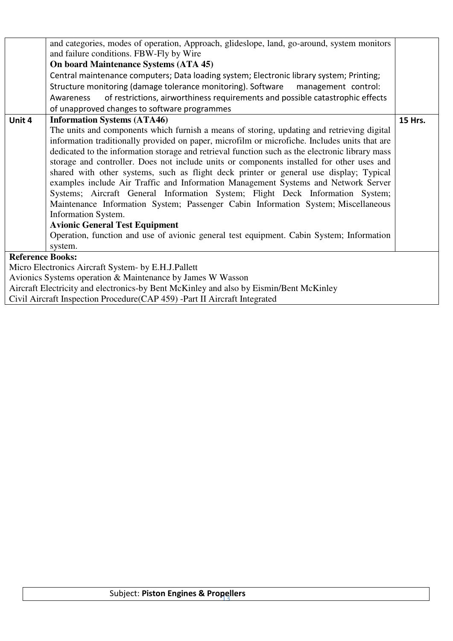|                         | and categories, modes of operation, Approach, glideslope, land, go-around, system monitors<br>and failure conditions. FBW-Fly by Wire                                                                                                                                                                                   |         |  |  |  |  |  |  |
|-------------------------|-------------------------------------------------------------------------------------------------------------------------------------------------------------------------------------------------------------------------------------------------------------------------------------------------------------------------|---------|--|--|--|--|--|--|
|                         | <b>On board Maintenance Systems (ATA 45)</b>                                                                                                                                                                                                                                                                            |         |  |  |  |  |  |  |
|                         |                                                                                                                                                                                                                                                                                                                         |         |  |  |  |  |  |  |
|                         | Central maintenance computers; Data loading system; Electronic library system; Printing;                                                                                                                                                                                                                                |         |  |  |  |  |  |  |
|                         | Structure monitoring (damage tolerance monitoring). Software<br>management control:                                                                                                                                                                                                                                     |         |  |  |  |  |  |  |
|                         | of restrictions, airworthiness requirements and possible catastrophic effects<br>Awareness                                                                                                                                                                                                                              |         |  |  |  |  |  |  |
|                         | of unapproved changes to software programmes                                                                                                                                                                                                                                                                            |         |  |  |  |  |  |  |
| Unit 4                  | <b>Information Systems (ATA46)</b>                                                                                                                                                                                                                                                                                      | 15 Hrs. |  |  |  |  |  |  |
|                         | The units and components which furnish a means of storing, updating and retrieving digital                                                                                                                                                                                                                              |         |  |  |  |  |  |  |
|                         | information traditionally provided on paper, microfilm or microfiche. Includes units that are                                                                                                                                                                                                                           |         |  |  |  |  |  |  |
|                         | dedicated to the information storage and retrieval function such as the electronic library mass                                                                                                                                                                                                                         |         |  |  |  |  |  |  |
|                         | storage and controller. Does not include units or components installed for other uses and                                                                                                                                                                                                                               |         |  |  |  |  |  |  |
|                         | shared with other systems, such as flight deck printer or general use display; Typical                                                                                                                                                                                                                                  |         |  |  |  |  |  |  |
|                         | examples include Air Traffic and Information Management Systems and Network Server                                                                                                                                                                                                                                      |         |  |  |  |  |  |  |
|                         | Systems; Aircraft General Information System; Flight Deck Information System;                                                                                                                                                                                                                                           |         |  |  |  |  |  |  |
|                         | Maintenance Information System; Passenger Cabin Information System; Miscellaneous                                                                                                                                                                                                                                       |         |  |  |  |  |  |  |
|                         | Information System.                                                                                                                                                                                                                                                                                                     |         |  |  |  |  |  |  |
|                         | <b>Avionic General Test Equipment</b>                                                                                                                                                                                                                                                                                   |         |  |  |  |  |  |  |
|                         | Operation, function and use of avionic general test equipment. Cabin System; Information                                                                                                                                                                                                                                |         |  |  |  |  |  |  |
|                         | system.                                                                                                                                                                                                                                                                                                                 |         |  |  |  |  |  |  |
| <b>Reference Books:</b> |                                                                                                                                                                                                                                                                                                                         |         |  |  |  |  |  |  |
|                         |                                                                                                                                                                                                                                                                                                                         |         |  |  |  |  |  |  |
|                         | Micro Electronics Aircraft System- by E.H.J.Pallett                                                                                                                                                                                                                                                                     |         |  |  |  |  |  |  |
|                         | Avionics Systems operation & Maintenance by James W Wasson                                                                                                                                                                                                                                                              |         |  |  |  |  |  |  |
|                         | Aircraft Electricity and electronics-by Bent McKinley and also by Eismin/Bent McKinley<br>$C_1$ $C_2$ $D_1$ $D_2$ $D_3$ $D_4$ $D_5$ $D_6$ $D_6$ $D_7$ $D_8$ $D_8$ $D_9$ $D_1$ $D_2$ $D_3$ $D_4$ $D_1$ $D_2$ $D_3$ $D_4$ $D_1$ $D_2$ $D_3$ $D_4$ $D_1$ $D_2$ $D_3$ $D_4$ $D_1$ $D_2$ $D_3$ $D_4$ $D_1$ $D_2$ $D_3$ $D_4$ |         |  |  |  |  |  |  |
|                         |                                                                                                                                                                                                                                                                                                                         |         |  |  |  |  |  |  |

Civil Aircraft Inspection Procedure(CAP 459) -Part II Aircraft Integrated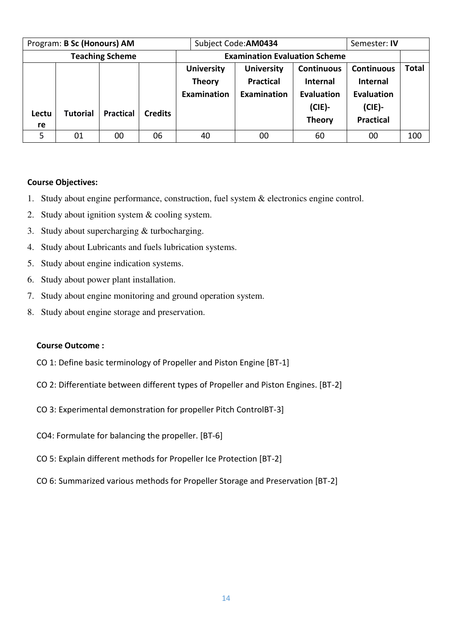| Program: B Sc (Honours) AM |                 |                  |                |                                      | Subject Code: AM0434 |                   | Semester: <b>IV</b> |              |
|----------------------------|-----------------|------------------|----------------|--------------------------------------|----------------------|-------------------|---------------------|--------------|
| <b>Teaching Scheme</b>     |                 |                  |                | <b>Examination Evaluation Scheme</b> |                      |                   |                     |              |
|                            |                 |                  |                | <b>University</b>                    | <b>University</b>    | <b>Continuous</b> | <b>Continuous</b>   | <b>Total</b> |
|                            |                 |                  |                | <b>Theory</b>                        | <b>Practical</b>     | <b>Internal</b>   | <b>Internal</b>     |              |
|                            |                 |                  |                | Examination                          | <b>Examination</b>   | Evaluation        | Evaluation          |              |
| Lectu                      | <b>Tutorial</b> | <b>Practical</b> | <b>Credits</b> |                                      |                      | $(CIE)$ -         | $(CIE)$ -           |              |
|                            |                 |                  |                |                                      |                      | <b>Theory</b>     | <b>Practical</b>    |              |
| re                         |                 |                  |                |                                      |                      |                   |                     |              |
| 5                          | 01              | 00               | 06             | 40                                   | 00                   | 60                | 00                  | 100          |

### **Course Objectives:**

- 1. Study about engine performance, construction, fuel system & electronics engine control.
- 2. Study about ignition system & cooling system.
- 3. Study about supercharging & turbocharging.
- 4. Study about Lubricants and fuels lubrication systems.
- 5. Study about engine indication systems.
- 6. Study about power plant installation.
- 7. Study about engine monitoring and ground operation system.
- 8. Study about engine storage and preservation.

## **Course Outcome :**

- CO 1: Define basic terminology of Propeller and Piston Engine [BT-1]
- CO 2: Differentiate between different types of Propeller and Piston Engines. [BT-2]
- CO 3: Experimental demonstration for propeller Pitch ControlBT-3]
- CO4: Formulate for balancing the propeller. [BT-6]
- CO 5: Explain different methods for Propeller Ice Protection [BT-2]
- CO 6: Summarized various methods for Propeller Storage and Preservation [BT-2]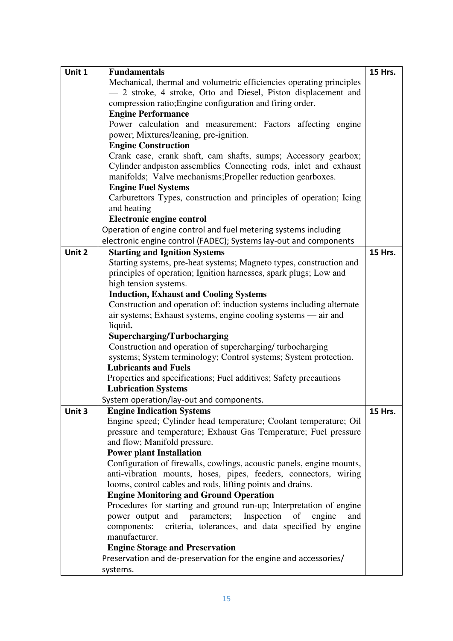| Unit 1 | <b>Fundamentals</b>                                                                                                            | <b>15 Hrs.</b> |  |  |  |  |  |
|--------|--------------------------------------------------------------------------------------------------------------------------------|----------------|--|--|--|--|--|
|        | Mechanical, thermal and volumetric efficiencies operating principles                                                           |                |  |  |  |  |  |
|        | - 2 stroke, 4 stroke, Otto and Diesel, Piston displacement and                                                                 |                |  |  |  |  |  |
|        | compression ratio; Engine configuration and firing order.                                                                      |                |  |  |  |  |  |
|        | <b>Engine Performance</b>                                                                                                      |                |  |  |  |  |  |
|        | Power calculation and measurement; Factors affecting engine                                                                    |                |  |  |  |  |  |
|        | power; Mixtures/leaning, pre-ignition.                                                                                         |                |  |  |  |  |  |
|        | <b>Engine Construction</b>                                                                                                     |                |  |  |  |  |  |
|        | Crank case, crank shaft, cam shafts, sumps; Accessory gearbox;                                                                 |                |  |  |  |  |  |
|        | Cylinder andpiston assemblies Connecting rods, inlet and exhaust                                                               |                |  |  |  |  |  |
|        | manifolds; Valve mechanisms; Propeller reduction gearboxes.                                                                    |                |  |  |  |  |  |
|        | <b>Engine Fuel Systems</b>                                                                                                     |                |  |  |  |  |  |
|        | Carburettors Types, construction and principles of operation; Icing                                                            |                |  |  |  |  |  |
|        | and heating                                                                                                                    |                |  |  |  |  |  |
|        | <b>Electronic engine control</b>                                                                                               |                |  |  |  |  |  |
|        | Operation of engine control and fuel metering systems including                                                                |                |  |  |  |  |  |
|        | electronic engine control (FADEC); Systems lay-out and components                                                              |                |  |  |  |  |  |
| Unit 2 | <b>Starting and Ignition Systems</b>                                                                                           | 15 Hrs.        |  |  |  |  |  |
|        | Starting systems, pre-heat systems; Magneto types, construction and                                                            |                |  |  |  |  |  |
|        | principles of operation; Ignition harnesses, spark plugs; Low and                                                              |                |  |  |  |  |  |
|        | high tension systems.                                                                                                          |                |  |  |  |  |  |
|        | <b>Induction, Exhaust and Cooling Systems</b>                                                                                  |                |  |  |  |  |  |
|        | Construction and operation of: induction systems including alternate                                                           |                |  |  |  |  |  |
|        | air systems; Exhaust systems, engine cooling systems — air and                                                                 |                |  |  |  |  |  |
|        | liquid.                                                                                                                        |                |  |  |  |  |  |
|        | Supercharging/Turbocharging                                                                                                    |                |  |  |  |  |  |
|        | Construction and operation of supercharging/turbocharging                                                                      |                |  |  |  |  |  |
|        | systems; System terminology; Control systems; System protection.                                                               |                |  |  |  |  |  |
|        | <b>Lubricants and Fuels</b>                                                                                                    |                |  |  |  |  |  |
|        | Properties and specifications; Fuel additives; Safety precautions                                                              |                |  |  |  |  |  |
|        | <b>Lubrication Systems</b>                                                                                                     |                |  |  |  |  |  |
|        | System operation/lay-out and components.                                                                                       |                |  |  |  |  |  |
| Unit 3 | <b>Engine Indication Systems</b>                                                                                               | <b>15 Hrs.</b> |  |  |  |  |  |
|        | Engine speed; Cylinder head temperature; Coolant temperature; Oil                                                              |                |  |  |  |  |  |
|        | pressure and temperature; Exhaust Gas Temperature; Fuel pressure                                                               |                |  |  |  |  |  |
|        | and flow; Manifold pressure.                                                                                                   |                |  |  |  |  |  |
|        | <b>Power plant Installation</b>                                                                                                |                |  |  |  |  |  |
|        | Configuration of firewalls, cowlings, acoustic panels, engine mounts,                                                          |                |  |  |  |  |  |
|        | anti-vibration mounts, hoses, pipes, feeders, connectors, wiring<br>looms, control cables and rods, lifting points and drains. |                |  |  |  |  |  |
|        | <b>Engine Monitoring and Ground Operation</b>                                                                                  |                |  |  |  |  |  |
|        | Procedures for starting and ground run-up; Interpretation of engine                                                            |                |  |  |  |  |  |
|        | power output and parameters;<br>Inspection<br>of<br>engine<br>and                                                              |                |  |  |  |  |  |
|        | components:<br>criteria, tolerances, and data specified by engine                                                              |                |  |  |  |  |  |
|        | manufacturer.                                                                                                                  |                |  |  |  |  |  |
|        | <b>Engine Storage and Preservation</b>                                                                                         |                |  |  |  |  |  |
|        | Preservation and de-preservation for the engine and accessories/                                                               |                |  |  |  |  |  |
|        | systems.                                                                                                                       |                |  |  |  |  |  |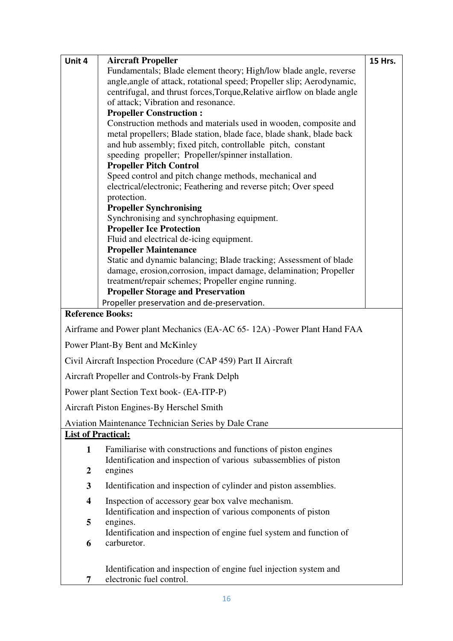| <b>Aircraft Propeller</b><br>Unit 4<br><b>15 Hrs.</b><br>Fundamentals; Blade element theory; High/low blade angle, reverse               |  |
|------------------------------------------------------------------------------------------------------------------------------------------|--|
|                                                                                                                                          |  |
| angle, angle of attack, rotational speed; Propeller slip; Aerodynamic,                                                                   |  |
| centrifugal, and thrust forces, Torque, Relative airflow on blade angle                                                                  |  |
| of attack; Vibration and resonance.                                                                                                      |  |
| <b>Propeller Construction:</b>                                                                                                           |  |
| Construction methods and materials used in wooden, composite and<br>metal propellers; Blade station, blade face, blade shank, blade back |  |
| and hub assembly; fixed pitch, controllable pitch, constant                                                                              |  |
| speeding propeller; Propeller/spinner installation.                                                                                      |  |
| <b>Propeller Pitch Control</b>                                                                                                           |  |
| Speed control and pitch change methods, mechanical and                                                                                   |  |
| electrical/electronic; Feathering and reverse pitch; Over speed                                                                          |  |
| protection.<br><b>Propeller Synchronising</b>                                                                                            |  |
| Synchronising and synchrophasing equipment.                                                                                              |  |
| <b>Propeller Ice Protection</b>                                                                                                          |  |
| Fluid and electrical de-icing equipment.                                                                                                 |  |
| <b>Propeller Maintenance</b>                                                                                                             |  |
| Static and dynamic balancing; Blade tracking; Assessment of blade                                                                        |  |
| damage, erosion, corrosion, impact damage, delamination; Propeller<br>treatment/repair schemes; Propeller engine running.                |  |
| <b>Propeller Storage and Preservation</b>                                                                                                |  |
| Propeller preservation and de-preservation.                                                                                              |  |
| <b>Reference Books:</b>                                                                                                                  |  |
| Airframe and Power plant Mechanics (EA-AC 65-12A) -Power Plant Hand FAA                                                                  |  |
| Power Plant-By Bent and McKinley                                                                                                         |  |
| Civil Aircraft Inspection Procedure (CAP 459) Part II Aircraft                                                                           |  |
| Aircraft Propeller and Controls-by Frank Delph                                                                                           |  |
| Power plant Section Text book- (EA-ITP-P)                                                                                                |  |
| Aircraft Piston Engines-By Herschel Smith                                                                                                |  |
| <b>Aviation Maintenance Technician Series by Dale Crane</b>                                                                              |  |
| <b>List of Practical:</b>                                                                                                                |  |
| Familiarise with constructions and functions of piston engines<br>$\mathbf{1}$                                                           |  |
| Identification and inspection of various subassemblies of piston                                                                         |  |
| $\boldsymbol{2}$<br>engines                                                                                                              |  |
| 3<br>Identification and inspection of cylinder and piston assemblies.                                                                    |  |
| Inspection of accessory gear box valve mechanism.<br>$\overline{\mathbf{4}}$                                                             |  |
| Identification and inspection of various components of piston                                                                            |  |
| 5<br>engines.<br>Identification and inspection of engine fuel system and function of                                                     |  |
| carburetor.<br>6                                                                                                                         |  |
|                                                                                                                                          |  |
| Identification and inspection of engine fuel injection system and                                                                        |  |
| electronic fuel control.<br>7                                                                                                            |  |